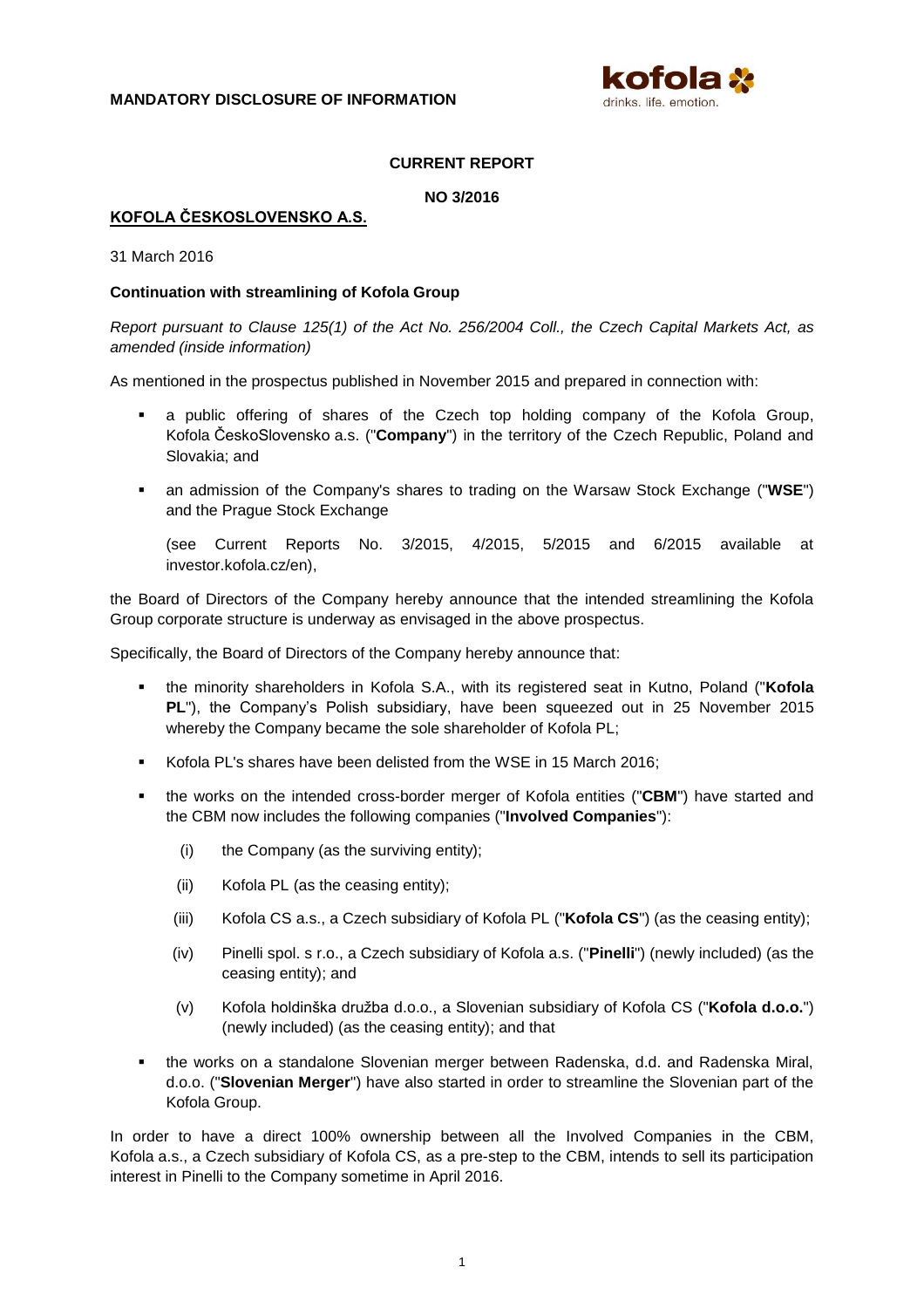

## **CURRENT REPORT**

**NO 3/2016**

## **KOFOLA ČESKOSLOVENSKO A.S.**

31 March 2016

#### **Continuation with streamlining of Kofola Group**

*Report pursuant to Clause 125(1) of the Act No. 256/2004 Coll., the Czech Capital Markets Act, as amended (inside information)*

As mentioned in the prospectus published in November 2015 and prepared in connection with:

- a public offering of shares of the Czech top holding company of the Kofola Group, Kofola ČeskoSlovensko a.s. ("**Company**") in the territory of the Czech Republic, Poland and Slovakia; and
- an admission of the Company's shares to trading on the Warsaw Stock Exchange ("**WSE**") and the Prague Stock Exchange

(see Current Reports No. 3/2015, 4/2015, 5/2015 and 6/2015 available at investor.kofola.cz/en),

the Board of Directors of the Company hereby announce that the intended streamlining the Kofola Group corporate structure is underway as envisaged in the above prospectus.

Specifically, the Board of Directors of the Company hereby announce that:

- the minority shareholders in Kofola S.A., with its registered seat in Kutno, Poland ("**Kofola PL**"), the Company's Polish subsidiary, have been squeezed out in 25 November 2015 whereby the Company became the sole shareholder of Kofola PL;
- Kofola PL's shares have been delisted from the WSE in 15 March 2016;
- the works on the intended cross-border merger of Kofola entities ("**CBM**") have started and the CBM now includes the following companies ("**Involved Companies**"):
	- (i) the Company (as the surviving entity);
	- (ii) Kofola PL (as the ceasing entity);
	- (iii) Kofola CS a.s., a Czech subsidiary of Kofola PL ("**Kofola CS**") (as the ceasing entity);
	- (iv) Pinelli spol. s r.o., a Czech subsidiary of Kofola a.s. ("**Pinelli**") (newly included) (as the ceasing entity); and
	- (v) Kofola holdinška družba d.o.o., a Slovenian subsidiary of Kofola CS ("**Kofola d.o.o.**") (newly included) (as the ceasing entity); and that
- the works on a standalone Slovenian merger between Radenska, d.d. and Radenska Miral, d.o.o. ("**Slovenian Merger**") have also started in order to streamline the Slovenian part of the Kofola Group.

In order to have a direct 100% ownership between all the Involved Companies in the CBM, Kofola a.s., a Czech subsidiary of Kofola CS, as a pre-step to the CBM, intends to sell its participation interest in Pinelli to the Company sometime in April 2016.